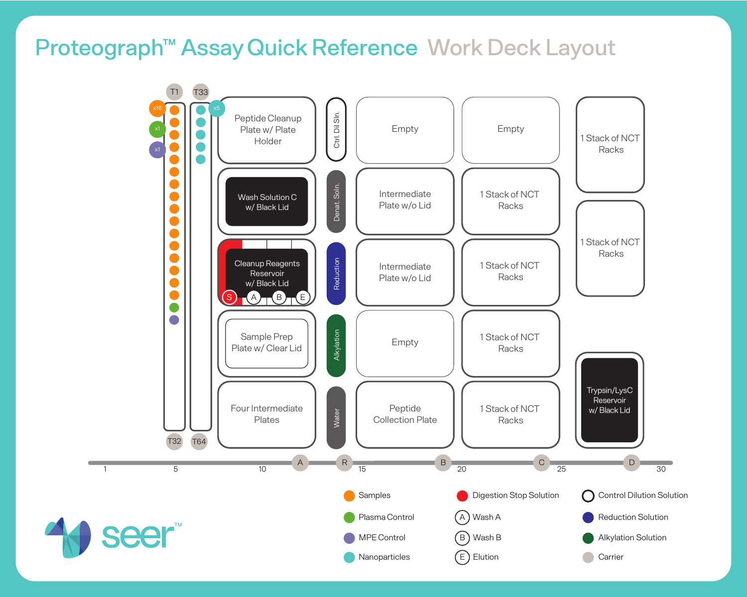# Proteograph™ Assay Quick Reference Work Deck Layout